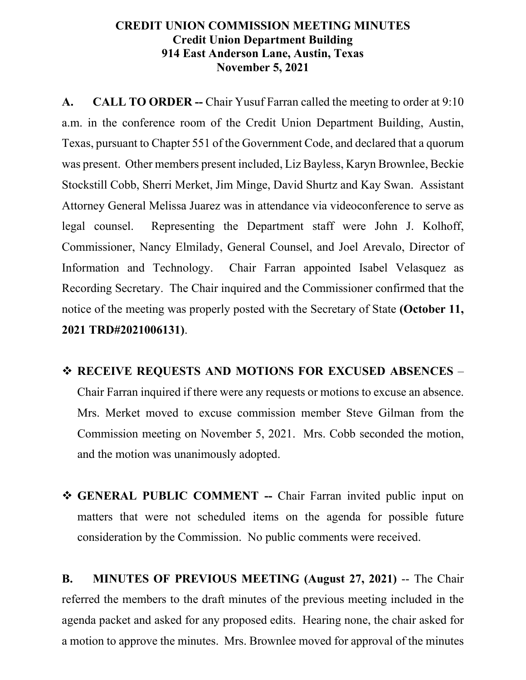## **CREDIT UNION COMMISSION MEETING MINUTES Credit Union Department Building 914 East Anderson Lane, Austin, Texas November 5, 2021**

**A. CALL TO ORDER --** Chair Yusuf Farran called the meeting to order at 9:10 a.m. in the conference room of the Credit Union Department Building, Austin, Texas, pursuant to Chapter 551 of the Government Code, and declared that a quorum was present. Other members present included, Liz Bayless, Karyn Brownlee, Beckie Stockstill Cobb, Sherri Merket, Jim Minge, David Shurtz and Kay Swan. Assistant Attorney General Melissa Juarez was in attendance via videoconference to serve as legal counsel. Representing the Department staff were John J. Kolhoff, Commissioner, Nancy Elmilady, General Counsel, and Joel Arevalo, Director of Information and Technology. Chair Farran appointed Isabel Velasquez as Recording Secretary. The Chair inquired and the Commissioner confirmed that the notice of the meeting was properly posted with the Secretary of State **(October 11, 2021 TRD#2021006131)**.

- **RECEIVE REQUESTS AND MOTIONS FOR EXCUSED ABSENCES** Chair Farran inquired if there were any requests or motions to excuse an absence. Mrs. Merket moved to excuse commission member Steve Gilman from the Commission meeting on November 5, 2021. Mrs. Cobb seconded the motion, and the motion was unanimously adopted.
- **GENERAL PUBLIC COMMENT --** Chair Farran invited public input on matters that were not scheduled items on the agenda for possible future consideration by the Commission. No public comments were received.

**B. MINUTES OF PREVIOUS MEETING (August 27, 2021)** -- The Chair referred the members to the draft minutes of the previous meeting included in the agenda packet and asked for any proposed edits. Hearing none, the chair asked for a motion to approve the minutes. Mrs. Brownlee moved for approval of the minutes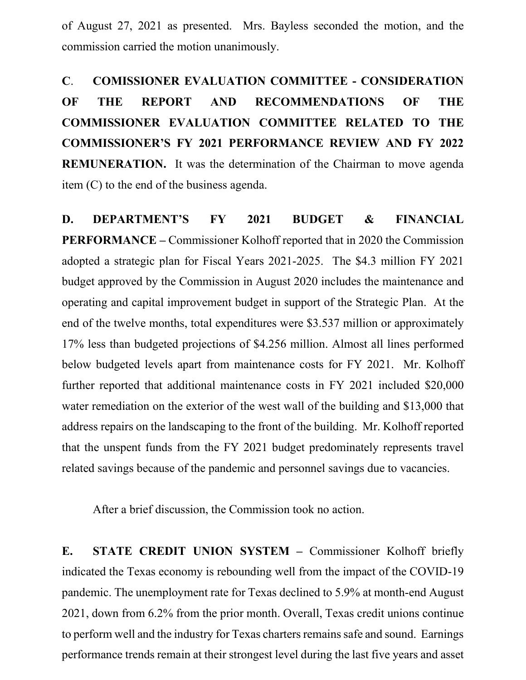of August 27, 2021 as presented. Mrs. Bayless seconded the motion, and the commission carried the motion unanimously.

**C**. **COMISSIONER EVALUATION COMMITTEE - CONSIDERATION OF THE REPORT AND RECOMMENDATIONS OF THE COMMISSIONER EVALUATION COMMITTEE RELATED TO THE COMMISSIONER'S FY 2021 PERFORMANCE REVIEW AND FY 2022 REMUNERATION.** It was the determination of the Chairman to move agenda item (C) to the end of the business agenda.

**D. DEPARTMENT'S FY 2021 BUDGET & FINANCIAL PERFORMANCE –** Commissioner Kolhoff reported that in 2020 the Commission adopted a strategic plan for Fiscal Years 2021-2025. The \$4.3 million FY 2021 budget approved by the Commission in August 2020 includes the maintenance and operating and capital improvement budget in support of the Strategic Plan. At the end of the twelve months, total expenditures were \$3.537 million or approximately 17% less than budgeted projections of \$4.256 million. Almost all lines performed below budgeted levels apart from maintenance costs for FY 2021. Mr. Kolhoff further reported that additional maintenance costs in FY 2021 included \$20,000 water remediation on the exterior of the west wall of the building and \$13,000 that address repairs on the landscaping to the front of the building. Mr. Kolhoff reported that the unspent funds from the FY 2021 budget predominately represents travel related savings because of the pandemic and personnel savings due to vacancies.

After a brief discussion, the Commission took no action.

**E. STATE CREDIT UNION SYSTEM –** Commissioner Kolhoff briefly indicated the Texas economy is rebounding well from the impact of the COVID-19 pandemic. The unemployment rate for Texas declined to 5.9% at month-end August 2021, down from 6.2% from the prior month. Overall, Texas credit unions continue to perform well and the industry for Texas charters remains safe and sound. Earnings performance trends remain at their strongest level during the last five years and asset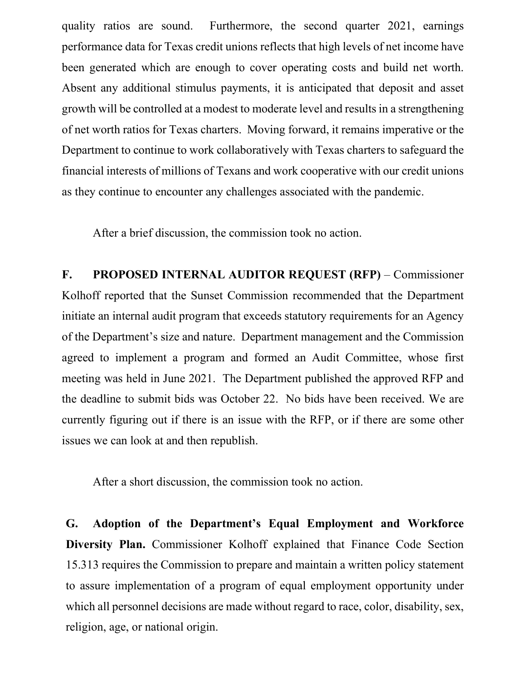quality ratios are sound. Furthermore, the second quarter 2021, earnings performance data for Texas credit unions reflects that high levels of net income have been generated which are enough to cover operating costs and build net worth. Absent any additional stimulus payments, it is anticipated that deposit and asset growth will be controlled at a modest to moderate level and results in a strengthening of net worth ratios for Texas charters. Moving forward, it remains imperative or the Department to continue to work collaboratively with Texas charters to safeguard the financial interests of millions of Texans and work cooperative with our credit unions as they continue to encounter any challenges associated with the pandemic.

After a brief discussion, the commission took no action.

**F. PROPOSED INTERNAL AUDITOR REQUEST (RFP)** – Commissioner Kolhoff reported that the Sunset Commission recommended that the Department initiate an internal audit program that exceeds statutory requirements for an Agency of the Department's size and nature. Department management and the Commission agreed to implement a program and formed an Audit Committee, whose first meeting was held in June 2021. The Department published the approved RFP and the deadline to submit bids was October 22. No bids have been received. We are currently figuring out if there is an issue with the RFP, or if there are some other issues we can look at and then republish.

After a short discussion, the commission took no action.

**G. Adoption of the Department's Equal Employment and Workforce Diversity Plan.** Commissioner Kolhoff explained that Finance Code Section 15.313 requires the Commission to prepare and maintain a written policy statement to assure implementation of a program of equal employment opportunity under which all personnel decisions are made without regard to race, color, disability, sex, religion, age, or national origin.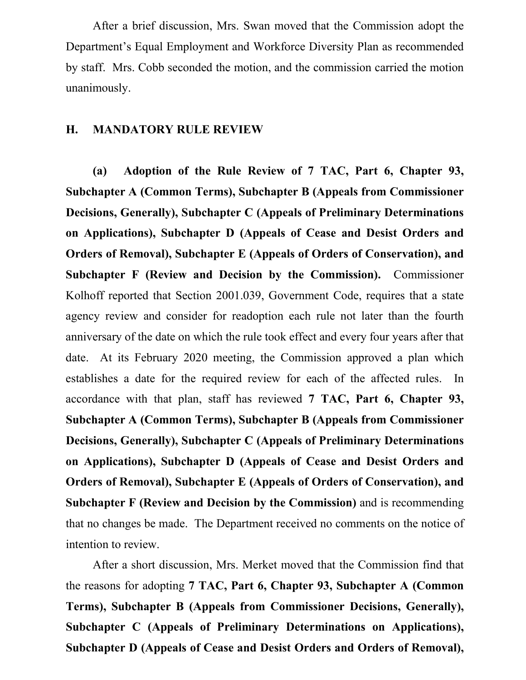After a brief discussion, Mrs. Swan moved that the Commission adopt the Department's Equal Employment and Workforce Diversity Plan as recommended by staff. Mrs. Cobb seconded the motion, and the commission carried the motion unanimously.

## **H. MANDATORY RULE REVIEW**

**(a) Adoption of the Rule Review of 7 TAC, Part 6, Chapter 93, Subchapter A (Common Terms), Subchapter B (Appeals from Commissioner Decisions, Generally), Subchapter C (Appeals of Preliminary Determinations on Applications), Subchapter D (Appeals of Cease and Desist Orders and Orders of Removal), Subchapter E (Appeals of Orders of Conservation), and Subchapter F (Review and Decision by the Commission).** Commissioner Kolhoff reported that Section 2001.039, Government Code, requires that a state agency review and consider for readoption each rule not later than the fourth anniversary of the date on which the rule took effect and every four years after that date. At its February 2020 meeting, the Commission approved a plan which establishes a date for the required review for each of the affected rules. In accordance with that plan, staff has reviewed **7 TAC, Part 6, Chapter 93, Subchapter A (Common Terms), Subchapter B (Appeals from Commissioner Decisions, Generally), Subchapter C (Appeals of Preliminary Determinations on Applications), Subchapter D (Appeals of Cease and Desist Orders and Orders of Removal), Subchapter E (Appeals of Orders of Conservation), and Subchapter F (Review and Decision by the Commission)** and is recommending that no changes be made. The Department received no comments on the notice of intention to review.

After a short discussion, Mrs. Merket moved that the Commission find that the reasons for adopting **7 TAC, Part 6, Chapter 93, Subchapter A (Common Terms), Subchapter B (Appeals from Commissioner Decisions, Generally), Subchapter C (Appeals of Preliminary Determinations on Applications), Subchapter D (Appeals of Cease and Desist Orders and Orders of Removal),**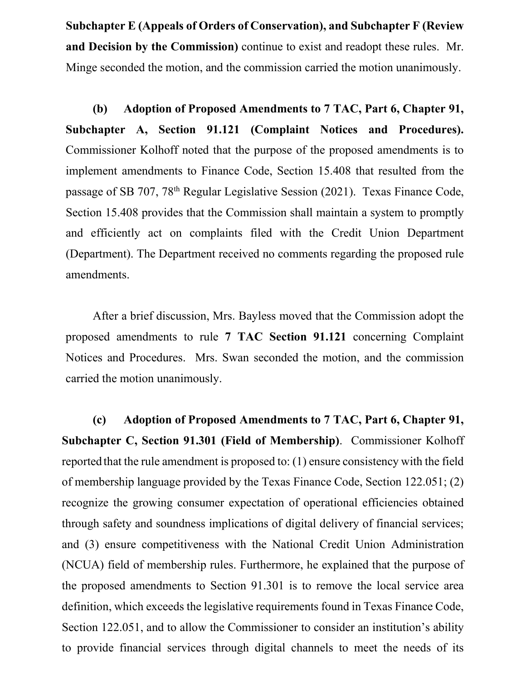**Subchapter E (Appeals of Orders of Conservation), and Subchapter F (Review and Decision by the Commission)** continue to exist and readopt these rules. Mr. Minge seconded the motion, and the commission carried the motion unanimously.

**(b) Adoption of Proposed Amendments to 7 TAC, Part 6, Chapter 91, Subchapter A, Section 91.121 (Complaint Notices and Procedures).**  Commissioner Kolhoff noted that the purpose of the proposed amendments is to implement amendments to Finance Code, Section 15.408 that resulted from the passage of SB 707, 78th Regular Legislative Session (2021). Texas Finance Code, Section 15.408 provides that the Commission shall maintain a system to promptly and efficiently act on complaints filed with the Credit Union Department (Department). The Department received no comments regarding the proposed rule amendments.

After a brief discussion, Mrs. Bayless moved that the Commission adopt the proposed amendments to rule **7 TAC Section 91.121** concerning Complaint Notices and Procedures. Mrs. Swan seconded the motion, and the commission carried the motion unanimously.

**(c) Adoption of Proposed Amendments to 7 TAC, Part 6, Chapter 91, Subchapter C, Section 91.301 (Field of Membership)**. Commissioner Kolhoff reported that the rule amendment is proposed to: (1) ensure consistency with the field of membership language provided by the Texas Finance Code, Section 122.051; (2) recognize the growing consumer expectation of operational efficiencies obtained through safety and soundness implications of digital delivery of financial services; and (3) ensure competitiveness with the National Credit Union Administration (NCUA) field of membership rules. Furthermore, he explained that the purpose of the proposed amendments to Section 91.301 is to remove the local service area definition, which exceeds the legislative requirements found in Texas Finance Code, Section 122.051, and to allow the Commissioner to consider an institution's ability to provide financial services through digital channels to meet the needs of its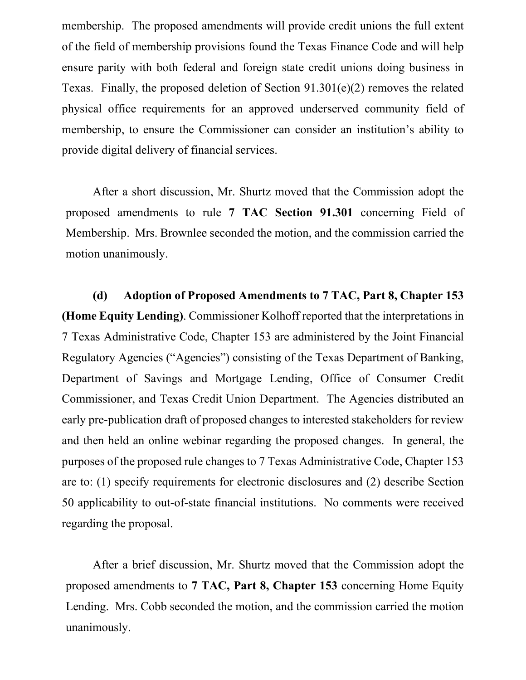membership. The proposed amendments will provide credit unions the full extent of the field of membership provisions found the Texas Finance Code and will help ensure parity with both federal and foreign state credit unions doing business in Texas. Finally, the proposed deletion of Section 91.301(e)(2) removes the related physical office requirements for an approved underserved community field of membership, to ensure the Commissioner can consider an institution's ability to provide digital delivery of financial services.

After a short discussion, Mr. Shurtz moved that the Commission adopt the proposed amendments to rule **7 TAC Section 91.301** concerning Field of Membership. Mrs. Brownlee seconded the motion, and the commission carried the motion unanimously.

**(d) Adoption of Proposed Amendments to 7 TAC, Part 8, Chapter 153 (Home Equity Lending)**. Commissioner Kolhoff reported that the interpretations in 7 Texas Administrative Code, Chapter 153 are administered by the Joint Financial Regulatory Agencies ("Agencies") consisting of the Texas Department of Banking, Department of Savings and Mortgage Lending, Office of Consumer Credit Commissioner, and Texas Credit Union Department. The Agencies distributed an early pre-publication draft of proposed changes to interested stakeholders for review and then held an online webinar regarding the proposed changes. In general, the purposes of the proposed rule changes to 7 Texas Administrative Code, Chapter 153 are to: (1) specify requirements for electronic disclosures and (2) describe Section 50 applicability to out-of-state financial institutions. No comments were received regarding the proposal.

After a brief discussion, Mr. Shurtz moved that the Commission adopt the proposed amendments to **7 TAC, Part 8, Chapter 153** concerning Home Equity Lending. Mrs. Cobb seconded the motion, and the commission carried the motion unanimously.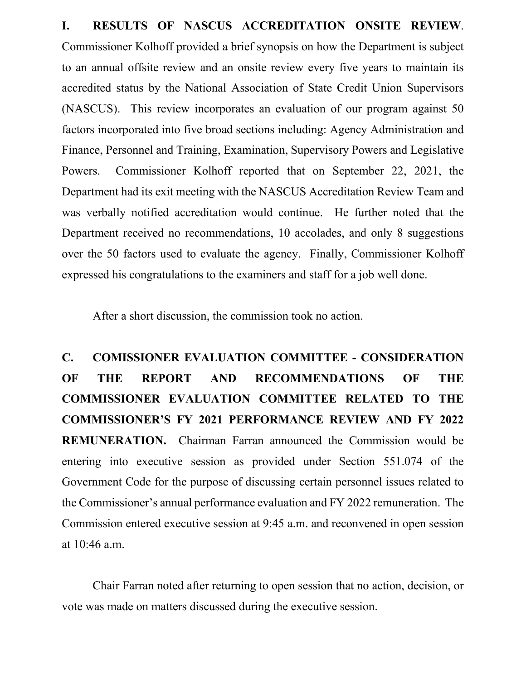**I. RESULTS OF NASCUS ACCREDITATION ONSITE REVIEW**. Commissioner Kolhoff provided a brief synopsis on how the Department is subject to an annual offsite review and an onsite review every five years to maintain its accredited status by the National Association of State Credit Union Supervisors (NASCUS). This review incorporates an evaluation of our program against 50 factors incorporated into five broad sections including: Agency Administration and Finance, Personnel and Training, Examination, Supervisory Powers and Legislative Powers. Commissioner Kolhoff reported that on September 22, 2021, the Department had its exit meeting with the NASCUS Accreditation Review Team and was verbally notified accreditation would continue. He further noted that the Department received no recommendations, 10 accolades, and only 8 suggestions over the 50 factors used to evaluate the agency. Finally, Commissioner Kolhoff expressed his congratulations to the examiners and staff for a job well done.

After a short discussion, the commission took no action.

**C. COMISSIONER EVALUATION COMMITTEE - CONSIDERATION OF THE REPORT AND RECOMMENDATIONS OF THE COMMISSIONER EVALUATION COMMITTEE RELATED TO THE COMMISSIONER'S FY 2021 PERFORMANCE REVIEW AND FY 2022 REMUNERATION.** Chairman Farran announced the Commission would be entering into executive session as provided under Section 551.074 of the Government Code for the purpose of discussing certain personnel issues related to the Commissioner's annual performance evaluation and FY 2022 remuneration. The Commission entered executive session at 9:45 a.m. and reconvened in open session at 10:46 a.m.

Chair Farran noted after returning to open session that no action, decision, or vote was made on matters discussed during the executive session.